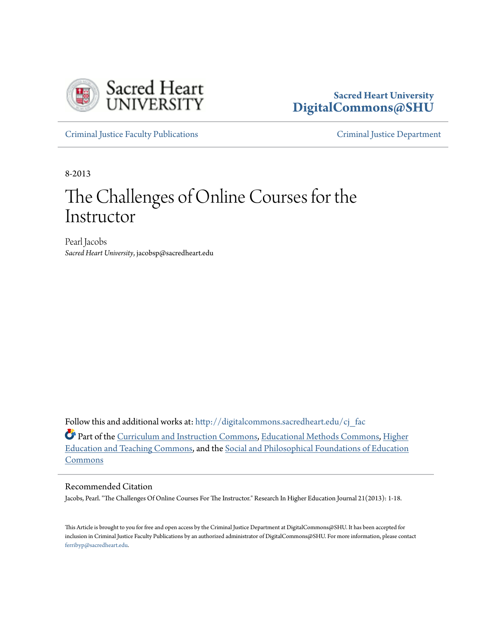

### **Sacred Heart University [DigitalCommons@SHU](http://digitalcommons.sacredheart.edu?utm_source=digitalcommons.sacredheart.edu%2Fcj_fac%2F8&utm_medium=PDF&utm_campaign=PDFCoverPages)**

[Criminal Justice Faculty Publications](http://digitalcommons.sacredheart.edu/cj_fac?utm_source=digitalcommons.sacredheart.edu%2Fcj_fac%2F8&utm_medium=PDF&utm_campaign=PDFCoverPages) [Criminal Justice Department](http://digitalcommons.sacredheart.edu/cj?utm_source=digitalcommons.sacredheart.edu%2Fcj_fac%2F8&utm_medium=PDF&utm_campaign=PDFCoverPages)

8-2013

# The Challenges of Online Courses for the Instructor

Pearl Jacobs *Sacred Heart University*, jacobsp@sacredheart.edu

Follow this and additional works at: [http://digitalcommons.sacredheart.edu/cj\\_fac](http://digitalcommons.sacredheart.edu/cj_fac?utm_source=digitalcommons.sacredheart.edu%2Fcj_fac%2F8&utm_medium=PDF&utm_campaign=PDFCoverPages)

Part of the [Curriculum and Instruction Commons](http://network.bepress.com/hgg/discipline/786?utm_source=digitalcommons.sacredheart.edu%2Fcj_fac%2F8&utm_medium=PDF&utm_campaign=PDFCoverPages), [Educational Methods Commons,](http://network.bepress.com/hgg/discipline/1227?utm_source=digitalcommons.sacredheart.edu%2Fcj_fac%2F8&utm_medium=PDF&utm_campaign=PDFCoverPages) [Higher](http://network.bepress.com/hgg/discipline/806?utm_source=digitalcommons.sacredheart.edu%2Fcj_fac%2F8&utm_medium=PDF&utm_campaign=PDFCoverPages) [Education and Teaching Commons,](http://network.bepress.com/hgg/discipline/806?utm_source=digitalcommons.sacredheart.edu%2Fcj_fac%2F8&utm_medium=PDF&utm_campaign=PDFCoverPages) and the [Social and Philosophical Foundations of Education](http://network.bepress.com/hgg/discipline/799?utm_source=digitalcommons.sacredheart.edu%2Fcj_fac%2F8&utm_medium=PDF&utm_campaign=PDFCoverPages) [Commons](http://network.bepress.com/hgg/discipline/799?utm_source=digitalcommons.sacredheart.edu%2Fcj_fac%2F8&utm_medium=PDF&utm_campaign=PDFCoverPages)

#### Recommended Citation

Jacobs, Pearl. "The Challenges Of Online Courses For The Instructor." Research In Higher Education Journal 21(2013): 1-18.

This Article is brought to you for free and open access by the Criminal Justice Department at DigitalCommons@SHU. It has been accepted for inclusion in Criminal Justice Faculty Publications by an authorized administrator of DigitalCommons@SHU. For more information, please contact [ferribyp@sacredheart.edu](mailto:ferribyp@sacredheart.edu).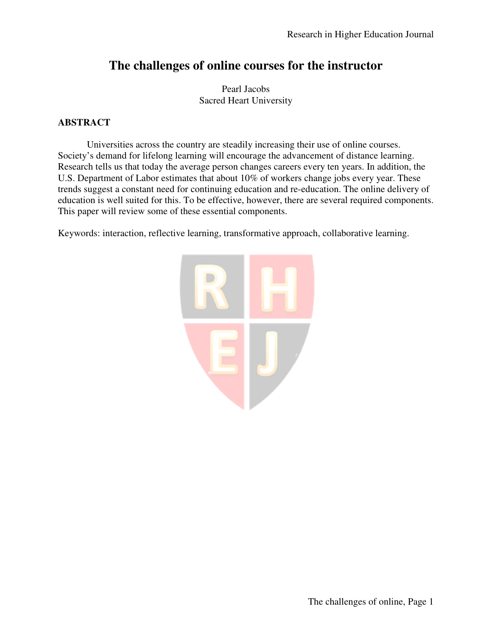## **The challenges of online courses for the instructor**

Pearl Jacobs Sacred Heart University

#### **ABSTRACT**

Universities across the country are steadily increasing their use of online courses. Society's demand for lifelong learning will encourage the advancement of distance learning. Research tells us that today the average person changes careers every ten years. In addition, the U.S. Department of Labor estimates that about 10% of workers change jobs every year. These trends suggest a constant need for continuing education and re-education. The online delivery of education is well suited for this. To be effective, however, there are several required components. This paper will review some of these essential components.

Keywords: interaction, reflective learning, transformative approach, collaborative learning.

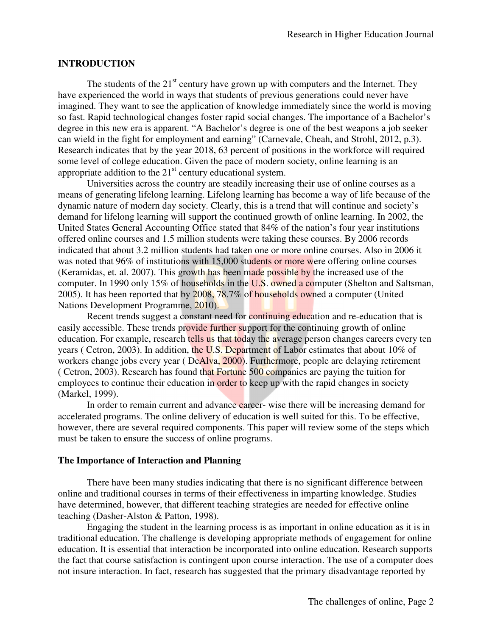#### **INTRODUCTION**

The students of the  $21<sup>st</sup>$  century have grown up with computers and the Internet. They have experienced the world in ways that students of previous generations could never have imagined. They want to see the application of knowledge immediately since the world is moving so fast. Rapid technological changes foster rapid social changes. The importance of a Bachelor's degree in this new era is apparent. "A Bachelor's degree is one of the best weapons a job seeker can wield in the fight for employment and earning" (Carnevale, Cheah, and Strohl, 2012, p.3). Research indicates that by the year 2018, 63 percent of positions in the workforce will required some level of college education. Given the pace of modern society, online learning is an appropriate addition to the  $21<sup>st</sup>$  century educational system.

Universities across the country are steadily increasing their use of online courses as a means of generating lifelong learning. Lifelong learning has become a way of life because of the dynamic nature of modern day society. Clearly, this is a trend that will continue and society's demand for lifelong learning will support the continued growth of online learning. In 2002, the United States General Accounting Office stated that 84% of the nation's four year institutions offered online courses and 1.5 million students were taking these courses. By 2006 records indicated that about 3.2 million students had taken one or more online courses. Also in 2006 it was noted that 96% of institutions with 15,000 students or more were offering online courses (Keramidas, et. al. 2007). This growth has been made possible by the increased use of the computer. In 1990 only 15% of households in the U.S. owned a computer (Shelton and Saltsman, 2005). It has been reported that by 2008, 78.7% of households owned a computer (United Nations Development Programme, 2010).

Recent trends suggest a constant need for continuing education and re-education that is easily accessible. These trends provide further support for the continuing growth of online education. For example, research tells us that today the average person changes careers every ten years ( Cetron, 2003). In addition, the U.S. Department of Labor estimates that about 10% of workers change jobs every year (DeAlva, 2000). Furthermore, people are delaying retirement ( Cetron, 2003). Research has found that Fortune 500 companies are paying the tuition for employees to continue their education in order to keep up with the rapid changes in society (Markel, 1999).

In order to remain current and advance career- wise there will be increasing demand for accelerated programs. The online delivery of education is well suited for this. To be effective, however, there are several required components. This paper will review some of the steps which must be taken to ensure the success of online programs.

#### **The Importance of Interaction and Planning**

There have been many studies indicating that there is no significant difference between online and traditional courses in terms of their effectiveness in imparting knowledge. Studies have determined, however, that different teaching strategies are needed for effective online teaching (Dasher-Alston & Patton, 1998).

Engaging the student in the learning process is as important in online education as it is in traditional education. The challenge is developing appropriate methods of engagement for online education. It is essential that interaction be incorporated into online education. Research supports the fact that course satisfaction is contingent upon course interaction. The use of a computer does not insure interaction. In fact, research has suggested that the primary disadvantage reported by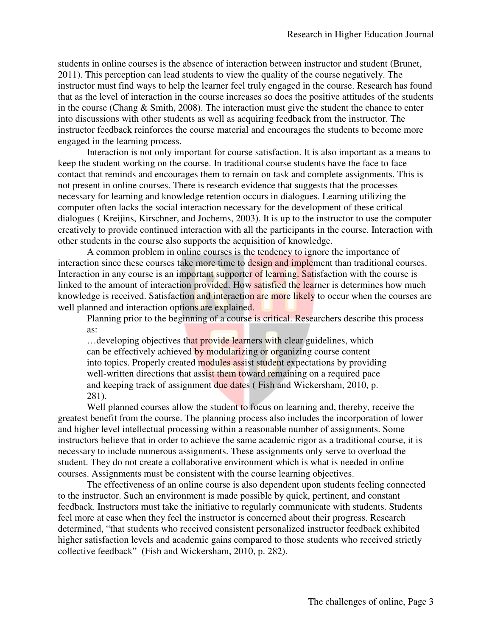students in online courses is the absence of interaction between instructor and student (Brunet, 2011). This perception can lead students to view the quality of the course negatively. The instructor must find ways to help the learner feel truly engaged in the course. Research has found that as the level of interaction in the course increases so does the positive attitudes of the students in the course (Chang & Smith, 2008). The interaction must give the student the chance to enter into discussions with other students as well as acquiring feedback from the instructor. The instructor feedback reinforces the course material and encourages the students to become more engaged in the learning process.

Interaction is not only important for course satisfaction. It is also important as a means to keep the student working on the course. In traditional course students have the face to face contact that reminds and encourages them to remain on task and complete assignments. This is not present in online courses. There is research evidence that suggests that the processes necessary for learning and knowledge retention occurs in dialogues. Learning utilizing the computer often lacks the social interaction necessary for the development of these critical dialogues ( Kreijins, Kirschner, and Jochems, 2003). It is up to the instructor to use the computer creatively to provide continued interaction with all the participants in the course. Interaction with other students in the course also supports the acquisition of knowledge.

A common problem in online courses is the tendency to ignore the importance of interaction since these courses take more time to design and implement than traditional courses. Interaction in any course is an important supporter of learning. Satisfaction with the course is linked to the amount of interaction provided. How satisfied the learner is determines how much knowledge is received. Satisfaction and interaction are more likely to occur when the courses are well planned and interaction options are explained.

Planning prior to the beginning of a course is critical. Researchers describe this process as:

... developing objectives that provide learners with clear guidelines, which can be effectively achieved by modularizing or organizing course content into topics. Properly created modules assist student expectations by providing well-written directions that assist them toward remaining on a required pace and keeping track of assignment due dates ( Fish and Wickersham, 2010, p. 281).

Well planned courses allow the student to focus on learning and, thereby, receive the greatest benefit from the course. The planning process also includes the incorporation of lower and higher level intellectual processing within a reasonable number of assignments. Some instructors believe that in order to achieve the same academic rigor as a traditional course, it is necessary to include numerous assignments. These assignments only serve to overload the student. They do not create a collaborative environment which is what is needed in online courses. Assignments must be consistent with the course learning objectives.

The effectiveness of an online course is also dependent upon students feeling connected to the instructor. Such an environment is made possible by quick, pertinent, and constant feedback. Instructors must take the initiative to regularly communicate with students. Students feel more at ease when they feel the instructor is concerned about their progress. Research determined, "that students who received consistent personalized instructor feedback exhibited higher satisfaction levels and academic gains compared to those students who received strictly collective feedback" (Fish and Wickersham, 2010, p. 282).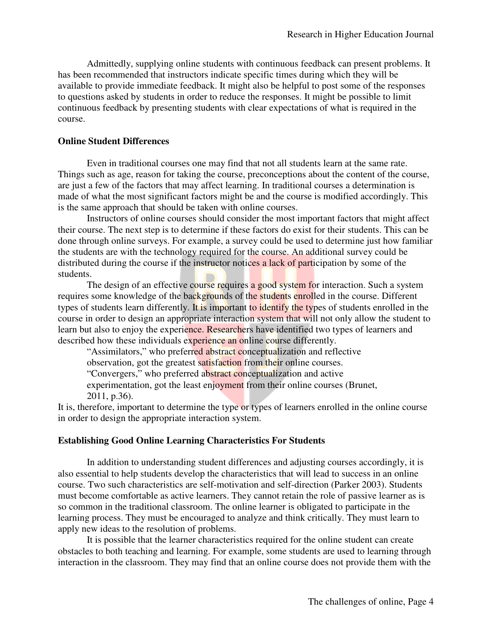Admittedly, supplying online students with continuous feedback can present problems. It has been recommended that instructors indicate specific times during which they will be available to provide immediate feedback. It might also be helpful to post some of the responses to questions asked by students in order to reduce the responses. It might be possible to limit continuous feedback by presenting students with clear expectations of what is required in the course.

#### **Online Student Differences**

Even in traditional courses one may find that not all students learn at the same rate. Things such as age, reason for taking the course, preconceptions about the content of the course, are just a few of the factors that may affect learning. In traditional courses a determination is made of what the most significant factors might be and the course is modified accordingly. This is the same approach that should be taken with online courses.

Instructors of online courses should consider the most important factors that might affect their course. The next step is to determine if these factors do exist for their students. This can be done through online surveys. For example, a survey could be used to determine just how familiar the students are with the technology required for the course. An additional survey could be distributed during the course if the instructor notices a lack of participation by some of the students.

The design of an effective course requires a good system for interaction. Such a system requires some knowledge of the backgrounds of the students enrolled in the course. Different types of students learn differently. It is important to identify the types of students enrolled in the course in order to design an appropriate interaction system that will not only allow the student to learn but also to enjoy the experience. Researchers have identified two types of learners and described how these individuals experience an online course differently.

"Assimilators," who preferred abstract conceptualization and reflective

observation, got the greatest satisfaction from their online courses.

"Convergers," who preferred abstract conceptualization and active

experimentation, got the least enjoyment from their online courses (Brunet, 2011, p.36).

It is, therefore, important to determine the type or types of learners enrolled in the online course in order to design the appropriate interaction system.

#### **Establishing Good Online Learning Characteristics For Students**

In addition to understanding student differences and adjusting courses accordingly, it is also essential to help students develop the characteristics that will lead to success in an online course. Two such characteristics are self-motivation and self-direction (Parker 2003). Students must become comfortable as active learners. They cannot retain the role of passive learner as is so common in the traditional classroom. The online learner is obligated to participate in the learning process. They must be encouraged to analyze and think critically. They must learn to apply new ideas to the resolution of problems.

It is possible that the learner characteristics required for the online student can create obstacles to both teaching and learning. For example, some students are used to learning through interaction in the classroom. They may find that an online course does not provide them with the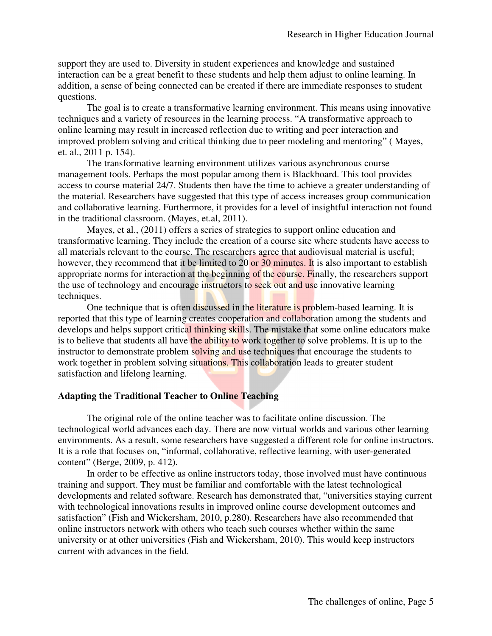support they are used to. Diversity in student experiences and knowledge and sustained interaction can be a great benefit to these students and help them adjust to online learning. In addition, a sense of being connected can be created if there are immediate responses to student questions.

The goal is to create a transformative learning environment. This means using innovative techniques and a variety of resources in the learning process. "A transformative approach to online learning may result in increased reflection due to writing and peer interaction and improved problem solving and critical thinking due to peer modeling and mentoring" ( Mayes, et. al., 2011 p. 154).

The transformative learning environment utilizes various asynchronous course management tools. Perhaps the most popular among them is Blackboard. This tool provides access to course material 24/7. Students then have the time to achieve a greater understanding of the material. Researchers have suggested that this type of access increases group communication and collaborative learning. Furthermore, it provides for a level of insightful interaction not found in the traditional classroom. (Mayes, et.al, 2011).

Mayes, et al., (2011) offers a series of strategies to support online education and transformative learning. They include the creation of a course site where students have access to all materials relevant to the course. The researchers agree that audiovisual material is useful; however, they recommend that it be limited to 20 or 30 minutes. It is also important to establish appropriate norms for interaction at the beginning of the course. Finally, the researchers support the use of technology and encourage instructors to seek out and use innovative learning techniques.

One technique that is often discussed in the literature is problem-based learning. It is reported that this type of learning creates cooperation and collaboration among the students and develops and helps support critical thinking skills. The mistake that some online educators make is to believe that students all have the ability to work together to solve problems. It is up to the instructor to demonstrate problem solving and use techniques that encourage the students to work together in problem solving situations. This collaboration leads to greater student satisfaction and lifelong learning.

#### **Adapting the Traditional Teacher to Online Teaching**

The original role of the online teacher was to facilitate online discussion. The technological world advances each day. There are now virtual worlds and various other learning environments. As a result, some researchers have suggested a different role for online instructors. It is a role that focuses on, "informal, collaborative, reflective learning, with user-generated content" (Berge, 2009, p. 412).

In order to be effective as online instructors today, those involved must have continuous training and support. They must be familiar and comfortable with the latest technological developments and related software. Research has demonstrated that, "universities staying current with technological innovations results in improved online course development outcomes and satisfaction" (Fish and Wickersham, 2010, p.280). Researchers have also recommended that online instructors network with others who teach such courses whether within the same university or at other universities (Fish and Wickersham, 2010). This would keep instructors current with advances in the field.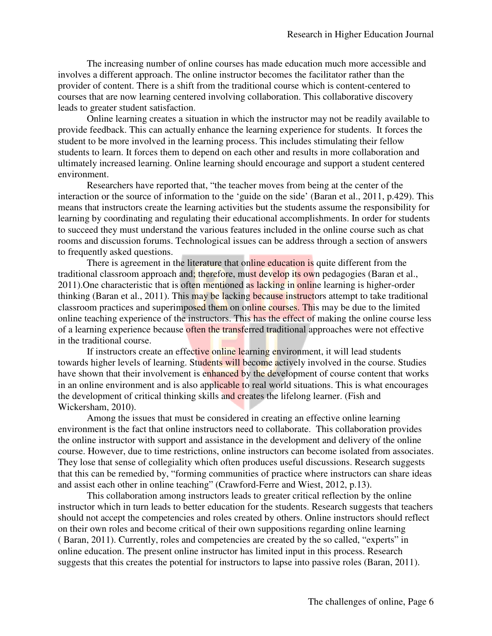The increasing number of online courses has made education much more accessible and involves a different approach. The online instructor becomes the facilitator rather than the provider of content. There is a shift from the traditional course which is content-centered to courses that are now learning centered involving collaboration. This collaborative discovery leads to greater student satisfaction.

Online learning creates a situation in which the instructor may not be readily available to provide feedback. This can actually enhance the learning experience for students. It forces the student to be more involved in the learning process. This includes stimulating their fellow students to learn. It forces them to depend on each other and results in more collaboration and ultimately increased learning. Online learning should encourage and support a student centered environment.

Researchers have reported that, "the teacher moves from being at the center of the interaction or the source of information to the 'guide on the side' (Baran et al., 2011, p.429). This means that instructors create the learning activities but the students assume the responsibility for learning by coordinating and regulating their educational accomplishments. In order for students to succeed they must understand the various features included in the online course such as chat rooms and discussion forums. Technological issues can be address through a section of answers to frequently asked questions.

There is agreement in the literature that online education is quite different from the traditional classroom approach and; therefore, must develop its own pedagogies (Baran et al., 2011). One characteristic that is often mentioned as lacking in online learning is higher-order thinking (Baran et al., 2011). This may be lacking because instructors attempt to take traditional classroom practices and superimposed them on online courses. This may be due to the limited online teaching experience of the instructors. This has the effect of making the online course less of a learning experience because often the transferred traditional approaches were not effective in the traditional course.

If instructors create an effective online learning environment, it will lead students towards higher levels of learning. Students will become actively involved in the course. Studies have shown that their involvement is enhanced by the development of course content that works in an online environment and is also applicable to real world situations. This is what encourages the development of critical thinking skills and creates the lifelong learner. (Fish and Wickersham, 2010).

Among the issues that must be considered in creating an effective online learning environment is the fact that online instructors need to collaborate. This collaboration provides the online instructor with support and assistance in the development and delivery of the online course. However, due to time restrictions, online instructors can become isolated from associates. They lose that sense of collegiality which often produces useful discussions. Research suggests that this can be remedied by, "forming communities of practice where instructors can share ideas and assist each other in online teaching" (Crawford-Ferre and Wiest, 2012, p.13).

This collaboration among instructors leads to greater critical reflection by the online instructor which in turn leads to better education for the students. Research suggests that teachers should not accept the competencies and roles created by others. Online instructors should reflect on their own roles and become critical of their own suppositions regarding online learning ( Baran, 2011). Currently, roles and competencies are created by the so called, "experts" in online education. The present online instructor has limited input in this process. Research suggests that this creates the potential for instructors to lapse into passive roles (Baran, 2011).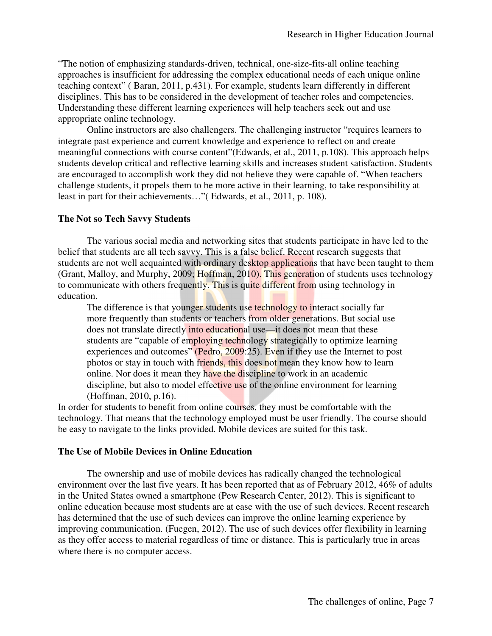"The notion of emphasizing standards-driven, technical, one-size-fits-all online teaching approaches is insufficient for addressing the complex educational needs of each unique online teaching context" ( Baran, 2011, p.431). For example, students learn differently in different disciplines. This has to be considered in the development of teacher roles and competencies. Understanding these different learning experiences will help teachers seek out and use appropriate online technology.

Online instructors are also challengers. The challenging instructor "requires learners to integrate past experience and current knowledge and experience to reflect on and create meaningful connections with course content"(Edwards, et al., 2011, p.108). This approach helps students develop critical and reflective learning skills and increases student satisfaction. Students are encouraged to accomplish work they did not believe they were capable of. "When teachers challenge students, it propels them to be more active in their learning, to take responsibility at least in part for their achievements…"( Edwards, et al., 2011, p. 108).

#### **The Not so Tech Savvy Students**

The various social media and networking sites that students participate in have led to the belief that students are all tech savvy. This is a false belief. Recent research suggests that students are not well acquainted with ordinary desktop applications that have been taught to them (Grant, Malloy, and Murphy, 2009; Hoffman, 2010). This generation of students uses technology to communicate with others frequently. This is quite different from using technology in education.

The difference is that younger students use technology to interact socially far more frequently than students or teachers from older generations. But social use does not translate directly into educational use—it does not mean that these students are "capable of employing technology strategically to optimize learning experiences and outcomes" (Pedro, 2009:25). Even if they use the Internet to post photos or stay in touch with friends, this does not mean they know how to learn online. Nor does it mean they have the discipline to work in an academic discipline, but also to model effective use of the online environment for learning (Hoffman, 2010, p.16).

In order for students to benefit from online courses, they must be comfortable with the technology. That means that the technology employed must be user friendly. The course should be easy to navigate to the links provided. Mobile devices are suited for this task.

#### **The Use of Mobile Devices in Online Education**

The ownership and use of mobile devices has radically changed the technological environment over the last five years. It has been reported that as of February 2012, 46% of adults in the United States owned a smartphone (Pew Research Center, 2012). This is significant to online education because most students are at ease with the use of such devices. Recent research has determined that the use of such devices can improve the online learning experience by improving communication. (Fuegen, 2012). The use of such devices offer flexibility in learning as they offer access to material regardless of time or distance. This is particularly true in areas where there is no computer access.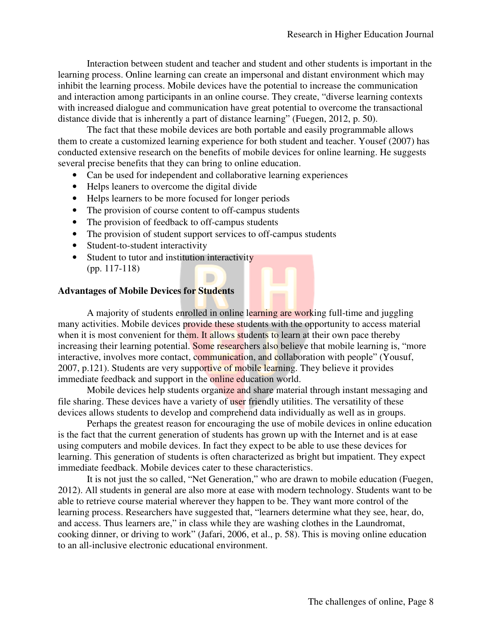Interaction between student and teacher and student and other students is important in the learning process. Online learning can create an impersonal and distant environment which may inhibit the learning process. Mobile devices have the potential to increase the communication and interaction among participants in an online course. They create, "diverse learning contexts with increased dialogue and communication have great potential to overcome the transactional distance divide that is inherently a part of distance learning" (Fuegen, 2012, p. 50).

The fact that these mobile devices are both portable and easily programmable allows them to create a customized learning experience for both student and teacher. Yousef (2007) has conducted extensive research on the benefits of mobile devices for online learning. He suggests several precise benefits that they can bring to online education.

- Can be used for independent and collaborative learning experiences
- Helps leaners to overcome the digital divide
- Helps learners to be more focused for longer periods
- The provision of course content to off-campus students
- The provision of feedback to off-campus students
- The provision of student support services to off-campus students

D

- Student-to-student interactivity
- Student to tutor and institution interactivity (pp. 117-118)

#### **Advantages of Mobile Devices for Students**

A majority of students enrolled in online learning are working full-time and juggling many activities. Mobile devices provide these students with the opportunity to access material when it is most convenient for them. It allows students to learn at their own pace thereby increasing their learning potential. Some researchers also believe that mobile learning is, "more interactive, involves more contact, communication, and collaboration with people" (Yousuf, 2007, p.121). Students are very supportive of mobile learning. They believe it provides immediate feedback and support in the online education world.

Mobile devices help students organize and share material through instant messaging and file sharing. These devices have a variety of user friendly utilities. The versatility of these devices allows students to develop and comprehend data individually as well as in groups.

Perhaps the greatest reason for encouraging the use of mobile devices in online education is the fact that the current generation of students has grown up with the Internet and is at ease using computers and mobile devices. In fact they expect to be able to use these devices for learning. This generation of students is often characterized as bright but impatient. They expect immediate feedback. Mobile devices cater to these characteristics.

It is not just the so called, "Net Generation," who are drawn to mobile education (Fuegen, 2012). All students in general are also more at ease with modern technology. Students want to be able to retrieve course material wherever they happen to be. They want more control of the learning process. Researchers have suggested that, "learners determine what they see, hear, do, and access. Thus learners are," in class while they are washing clothes in the Laundromat, cooking dinner, or driving to work" (Jafari, 2006, et al., p. 58). This is moving online education to an all-inclusive electronic educational environment.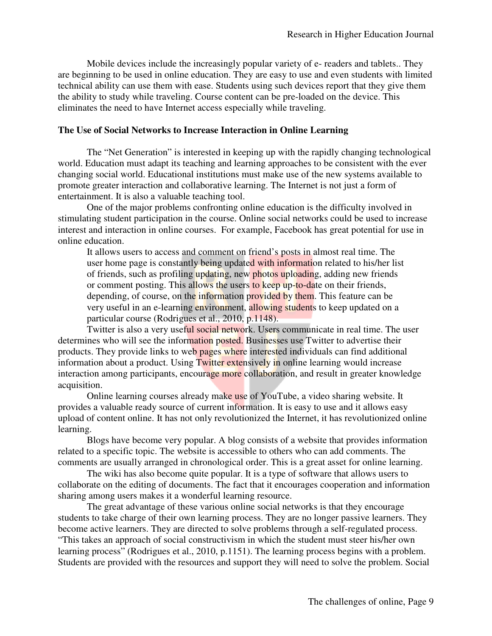Mobile devices include the increasingly popular variety of e- readers and tablets.. They are beginning to be used in online education. They are easy to use and even students with limited technical ability can use them with ease. Students using such devices report that they give them the ability to study while traveling. Course content can be pre-loaded on the device. This eliminates the need to have Internet access especially while traveling.

#### **The Use of Social Networks to Increase Interaction in Online Learning**

The "Net Generation" is interested in keeping up with the rapidly changing technological world. Education must adapt its teaching and learning approaches to be consistent with the ever changing social world. Educational institutions must make use of the new systems available to promote greater interaction and collaborative learning. The Internet is not just a form of entertainment. It is also a valuable teaching tool.

One of the major problems confronting online education is the difficulty involved in stimulating student participation in the course. Online social networks could be used to increase interest and interaction in online courses. For example, Facebook has great potential for use in online education.

It allows users to access and comment on friend's posts in almost real time. The user home page is constantly being updated with information related to his/her list of friends, such as profiling updating, new photos uploading, adding new friends or comment posting. This allows the users to keep up-to-date on their friends, depending, of course, on the information provided by them. This feature can be very useful in an e-learning environment, allowing students to keep updated on a particular course (Rodrigues et al., 2010, p.1148).

Twitter is also a very useful social network. Users communicate in real time. The user determines who will see the information posted. Businesses use Twitter to advertise their products. They provide links to web pages where interested individuals can find additional information about a product. Using Twitter extensively in online learning would increase interaction among participants, encourage more collaboration, and result in greater knowledge acquisition.

Online learning courses already make use of YouTube, a video sharing website. It provides a valuable ready source of current information. It is easy to use and it allows easy upload of content online. It has not only revolutionized the Internet, it has revolutionized online learning.

Blogs have become very popular. A blog consists of a website that provides information related to a specific topic. The website is accessible to others who can add comments. The comments are usually arranged in chronological order. This is a great asset for online learning.

The wiki has also become quite popular. It is a type of software that allows users to collaborate on the editing of documents. The fact that it encourages cooperation and information sharing among users makes it a wonderful learning resource.

The great advantage of these various online social networks is that they encourage students to take charge of their own learning process. They are no longer passive learners. They become active learners. They are directed to solve problems through a self-regulated process. "This takes an approach of social constructivism in which the student must steer his/her own learning process" (Rodrigues et al., 2010, p.1151). The learning process begins with a problem. Students are provided with the resources and support they will need to solve the problem. Social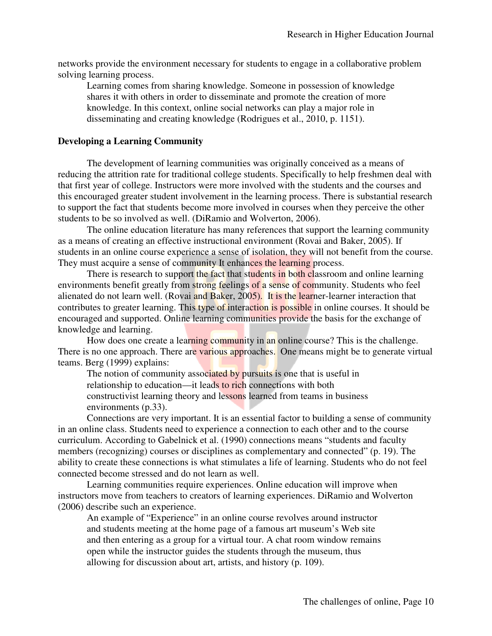networks provide the environment necessary for students to engage in a collaborative problem solving learning process.

Learning comes from sharing knowledge. Someone in possession of knowledge shares it with others in order to disseminate and promote the creation of more knowledge. In this context, online social networks can play a major role in disseminating and creating knowledge (Rodrigues et al., 2010, p. 1151).

#### **Developing a Learning Community**

The development of learning communities was originally conceived as a means of reducing the attrition rate for traditional college students. Specifically to help freshmen deal with that first year of college. Instructors were more involved with the students and the courses and this encouraged greater student involvement in the learning process. There is substantial research to support the fact that students become more involved in courses when they perceive the other students to be so involved as well. (DiRamio and Wolverton, 2006).

The online education literature has many references that support the learning community as a means of creating an effective instructional environment (Rovai and Baker, 2005). If students in an online course experience a sense of isolation, they will not benefit from the course. They must acquire a sense of community It enhances the learning process.

There is research to support the fact that students in both classroom and online learning environments benefit greatly from strong feelings of a sense of community. Students who feel alienated do not learn well. (Rovai and Baker, 2005). It is the learner-learner interaction that contributes to greater learning. This type of interaction is possible in online courses. It should be encouraged and supported. Online learning communities provide the basis for the exchange of knowledge and learning.

How does one create a learning community in an online course? This is the challenge. There is no one approach. There are various approaches. One means might be to generate virtual teams. Berg (1999) explains:

The notion of community associated by pursuits is one that is useful in relationship to education—it leads to rich connections with both constructivist learning theory and lessons learned from teams in business environments (p.33).

Connections are very important. It is an essential factor to building a sense of community in an online class. Students need to experience a connection to each other and to the course curriculum. According to Gabelnick et al. (1990) connections means "students and faculty members (recognizing) courses or disciplines as complementary and connected" (p. 19). The ability to create these connections is what stimulates a life of learning. Students who do not feel connected become stressed and do not learn as well.

Learning communities require experiences. Online education will improve when instructors move from teachers to creators of learning experiences. DiRamio and Wolverton (2006) describe such an experience.

An example of "Experience" in an online course revolves around instructor and students meeting at the home page of a famous art museum's Web site and then entering as a group for a virtual tour. A chat room window remains open while the instructor guides the students through the museum, thus allowing for discussion about art, artists, and history (p. 109).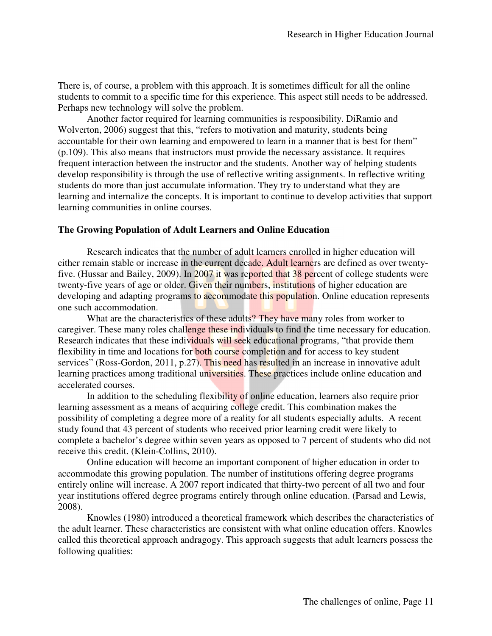There is, of course, a problem with this approach. It is sometimes difficult for all the online students to commit to a specific time for this experience. This aspect still needs to be addressed. Perhaps new technology will solve the problem.

Another factor required for learning communities is responsibility. DiRamio and Wolverton, 2006) suggest that this, "refers to motivation and maturity, students being accountable for their own learning and empowered to learn in a manner that is best for them" (p.109). This also means that instructors must provide the necessary assistance. It requires frequent interaction between the instructor and the students. Another way of helping students develop responsibility is through the use of reflective writing assignments. In reflective writing students do more than just accumulate information. They try to understand what they are learning and internalize the concepts. It is important to continue to develop activities that support learning communities in online courses.

#### **The Growing Population of Adult Learners and Online Education**

Research indicates that the number of adult learners enrolled in higher education will either remain stable or increase in the current decade. Adult learners are defined as over twentyfive. (Hussar and Bailey, 2009). In 2007 it was reported that 38 percent of college students were twenty-five years of age or older. Given their numbers, institutions of higher education are developing and adapting programs to accommodate this population. Online education represents one such accommodation.

What are the characteristics of these adults? They have many roles from worker to caregiver. These many roles challenge these individuals to find the time necessary for education. Research indicates that these individuals will seek educational programs, "that provide them flexibility in time and locations for both course completion and for access to key student services" (Ross-Gordon, 2011, p.27). This need has resulted in an increase in innovative adult learning practices among traditional universities. These practices include online education and accelerated courses.

In addition to the scheduling flexibility of online education, learners also require prior learning assessment as a means of acquiring college credit. This combination makes the possibility of completing a degree more of a reality for all students especially adults. A recent study found that 43 percent of students who received prior learning credit were likely to complete a bachelor's degree within seven years as opposed to 7 percent of students who did not receive this credit. (Klein-Collins, 2010).

Online education will become an important component of higher education in order to accommodate this growing population. The number of institutions offering degree programs entirely online will increase. A 2007 report indicated that thirty-two percent of all two and four year institutions offered degree programs entirely through online education. (Parsad and Lewis, 2008).

Knowles (1980) introduced a theoretical framework which describes the characteristics of the adult learner. These characteristics are consistent with what online education offers. Knowles called this theoretical approach andragogy. This approach suggests that adult learners possess the following qualities: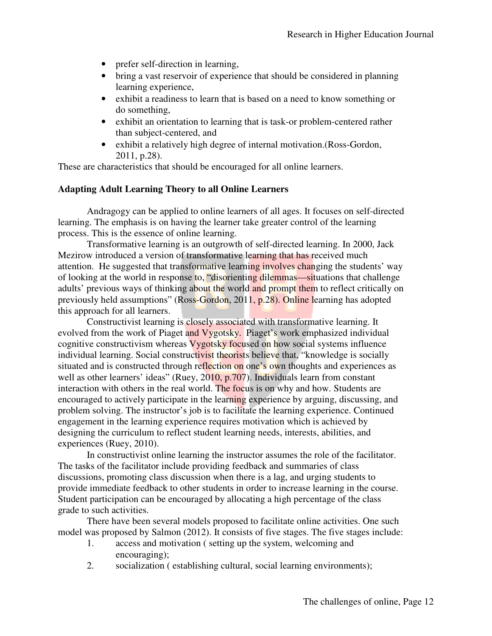- prefer self-direction in learning,
- bring a vast reservoir of experience that should be considered in planning learning experience,
- exhibit a readiness to learn that is based on a need to know something or do something,
- exhibit an orientation to learning that is task-or problem-centered rather than subject-centered, and
- exhibit a relatively high degree of internal motivation. (Ross-Gordon, 2011, p.28).

These are characteristics that should be encouraged for all online learners.

#### **Adapting Adult Learning Theory to all Online Learners**

Andragogy can be applied to online learners of all ages. It focuses on self-directed learning. The emphasis is on having the learner take greater control of the learning process. This is the essence of online learning.

Transformative learning is an outgrowth of self-directed learning. In 2000, Jack Mezirow introduced a version of transformative learning that has received much attention. He suggested that transformative learning involves changing the students' way of looking at the world in response to, "disorienting dilemmas—situations that challenge adults' previous ways of thinking about the world and prompt them to reflect critically on previously held assumptions" (Ross-Gordon, 2011, p.28). Online learning has adopted this approach for all learners.

Constructivist learning is closely associated with transformative learning. It evolved from the work of Piaget and Vygotsky. Piaget's work emphasized individual cognitive constructivism whereas Vygotsky focused on how social systems influence individual learning. Social constructivist theorists believe that, "knowledge is socially situated and is constructed through reflection on one's own thoughts and experiences as well as other learners' ideas" (Ruey, 2010, p.707). Individuals learn from constant interaction with others in the real world. The focus is on why and how. Students are encouraged to actively participate in the learning experience by arguing, discussing, and problem solving. The instructor's job is to facilitate the learning experience. Continued engagement in the learning experience requires motivation which is achieved by designing the curriculum to reflect student learning needs, interests, abilities, and experiences (Ruey, 2010).

In constructivist online learning the instructor assumes the role of the facilitator. The tasks of the facilitator include providing feedback and summaries of class discussions, promoting class discussion when there is a lag, and urging students to provide immediate feedback to other students in order to increase learning in the course. Student participation can be encouraged by allocating a high percentage of the class grade to such activities.

There have been several models proposed to facilitate online activities. One such model was proposed by Salmon (2012). It consists of five stages. The five stages include:

- 1. access and motivation ( setting up the system, welcoming and encouraging);
- 2. socialization ( establishing cultural, social learning environments);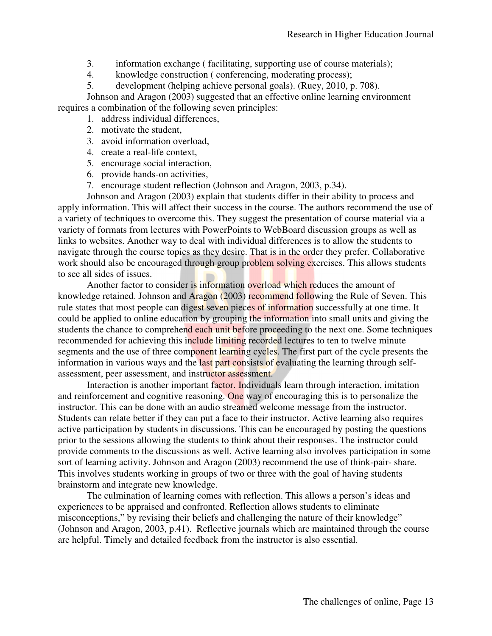- 3. information exchange ( facilitating, supporting use of course materials);
- 4. knowledge construction ( conferencing, moderating process);
- 5. development (helping achieve personal goals). (Ruey, 2010, p. 708).

Johnson and Aragon (2003) suggested that an effective online learning environment requires a combination of the following seven principles:

- 1. address individual differences,
- 2. motivate the student,
- 3. avoid information overload,
- 4. create a real-life context,
- 5. encourage social interaction,
- 6. provide hands-on activities,
- 7. encourage student reflection (Johnson and Aragon, 2003, p.34).

Johnson and Aragon (2003) explain that students differ in their ability to process and apply information. This will affect their success in the course. The authors recommend the use of a variety of techniques to overcome this. They suggest the presentation of course material via a variety of formats from lectures with PowerPoints to WebBoard discussion groups as well as links to websites. Another way to deal with individual differences is to allow the students to navigate through the course topics as they desire. That is in the order they prefer. Collaborative work should also be encouraged through group problem solving exercises. This allows students to see all sides of issues.

Another factor to consider is information overload which reduces the amount of knowledge retained. Johnson and Aragon (2003) recommend following the Rule of Seven. This rule states that most people can digest seven pieces of information successfully at one time. It could be applied to online education by grouping the information into small units and giving the students the chance to comprehend each unit before proceeding to the next one. Some techniques recommended for achieving this include limiting recorded lectures to ten to twelve minute segments and the use of three component learning cycles. The first part of the cycle presents the information in various ways and the last part consists of evaluating the learning through selfassessment, peer assessment, and instructor assessment.

Interaction is another important factor. Individuals learn through interaction, imitation and reinforcement and cognitive reasoning. One way of encouraging this is to personalize the instructor. This can be done with an audio streamed welcome message from the instructor. Students can relate better if they can put a face to their instructor. Active learning also requires active participation by students in discussions. This can be encouraged by posting the questions prior to the sessions allowing the students to think about their responses. The instructor could provide comments to the discussions as well. Active learning also involves participation in some sort of learning activity. Johnson and Aragon (2003) recommend the use of think-pair- share. This involves students working in groups of two or three with the goal of having students brainstorm and integrate new knowledge.

The culmination of learning comes with reflection. This allows a person's ideas and experiences to be appraised and confronted. Reflection allows students to eliminate misconceptions," by revising their beliefs and challenging the nature of their knowledge" (Johnson and Aragon, 2003, p.41). Reflective journals which are maintained through the course are helpful. Timely and detailed feedback from the instructor is also essential.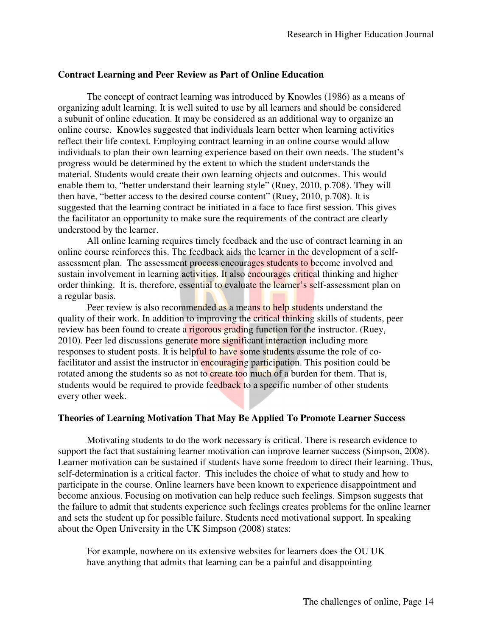#### **Contract Learning and Peer Review as Part of Online Education**

The concept of contract learning was introduced by Knowles (1986) as a means of organizing adult learning. It is well suited to use by all learners and should be considered a subunit of online education. It may be considered as an additional way to organize an online course. Knowles suggested that individuals learn better when learning activities reflect their life context. Employing contract learning in an online course would allow individuals to plan their own learning experience based on their own needs. The student's progress would be determined by the extent to which the student understands the material. Students would create their own learning objects and outcomes. This would enable them to, "better understand their learning style" (Ruey, 2010, p.708). They will then have, "better access to the desired course content" (Ruey, 2010, p.708). It is suggested that the learning contract be initiated in a face to face first session. This gives the facilitator an opportunity to make sure the requirements of the contract are clearly understood by the learner.

All online learning requires timely feedback and the use of contract learning in an online course reinforces this. The feedback aids the learner in the development of a selfassessment plan. The assessment process encourages students to become involved and sustain involvement in learning activities. It also encourages critical thinking and higher order thinking. It is, therefore, essential to evaluate the learner's self-assessment plan on a regular basis.

Peer review is also recommended as a means to help students understand the quality of their work. In addition to improving the critical thinking skills of students, peer review has been found to create a rigorous grading function for the instructor. (Ruey, 2010). Peer led discussions generate more significant interaction including more responses to student posts. It is helpful to have some students assume the role of cofacilitator and assist the instructor in encouraging participation. This position could be rotated among the students so as not to create too much of a burden for them. That is, students would be required to provide feedback to a specific number of other students every other week.

#### **Theories of Learning Motivation That May Be Applied To Promote Learner Success**

Motivating students to do the work necessary is critical. There is research evidence to support the fact that sustaining learner motivation can improve learner success (Simpson, 2008). Learner motivation can be sustained if students have some freedom to direct their learning. Thus, self-determination is a critical factor. This includes the choice of what to study and how to participate in the course. Online learners have been known to experience disappointment and become anxious. Focusing on motivation can help reduce such feelings. Simpson suggests that the failure to admit that students experience such feelings creates problems for the online learner and sets the student up for possible failure. Students need motivational support. In speaking about the Open University in the UK Simpson (2008) states:

For example, nowhere on its extensive websites for learners does the OU UK have anything that admits that learning can be a painful and disappointing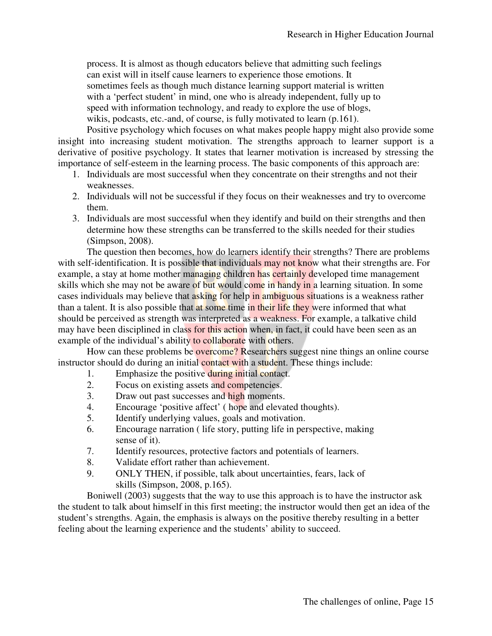process. It is almost as though educators believe that admitting such feelings can exist will in itself cause learners to experience those emotions. It sometimes feels as though much distance learning support material is written with a 'perfect student' in mind, one who is already independent, fully up to speed with information technology, and ready to explore the use of blogs, wikis, podcasts, etc.-and, of course, is fully motivated to learn (p.161).

Positive psychology which focuses on what makes people happy might also provide some insight into increasing student motivation. The strengths approach to learner support is a derivative of positive psychology. It states that learner motivation is increased by stressing the importance of self-esteem in the learning process. The basic components of this approach are:

- 1. Individuals are most successful when they concentrate on their strengths and not their weaknesses.
- 2. Individuals will not be successful if they focus on their weaknesses and try to overcome them.
- 3. Individuals are most successful when they identify and build on their strengths and then determine how these strengths can be transferred to the skills needed for their studies (Simpson, 2008).

The question then becomes, how do learners identify their strengths? There are problems with self-identification. It is possible that individuals may not know what their strengths are. For example, a stay at home mother managing children has certainly developed time management skills which she may not be aware of but would come in handy in a learning situation. In some cases individuals may believe that asking for help in ambiguous situations is a weakness rather than a talent. It is also possible that at some time in their life they were informed that what should be perceived as strength was interpreted as a weakness. For example, a talkative child may have been disciplined in class for this action when, in fact, it could have been seen as an example of the individual's ability to collaborate with others.

How can these problems be overcome? Researchers suggest nine things an online course instructor should do during an initial contact with a student. These things include:

- 1. Emphasize the positive during initial contact.
- 2. Focus on existing assets and competencies.
- 3. Draw out past successes and high moments.
- 4. Encourage 'positive affect' ( hope and elevated thoughts).
- 5. Identify underlying values, goals and motivation.
- 6. Encourage narration ( life story, putting life in perspective, making sense of it).
- 7. Identify resources, protective factors and potentials of learners.
- 8. Validate effort rather than achievement.
- 9. ONLY THEN, if possible, talk about uncertainties, fears, lack of skills (Simpson, 2008, p.165).

Boniwell (2003) suggests that the way to use this approach is to have the instructor ask the student to talk about himself in this first meeting; the instructor would then get an idea of the student's strengths. Again, the emphasis is always on the positive thereby resulting in a better feeling about the learning experience and the students' ability to succeed.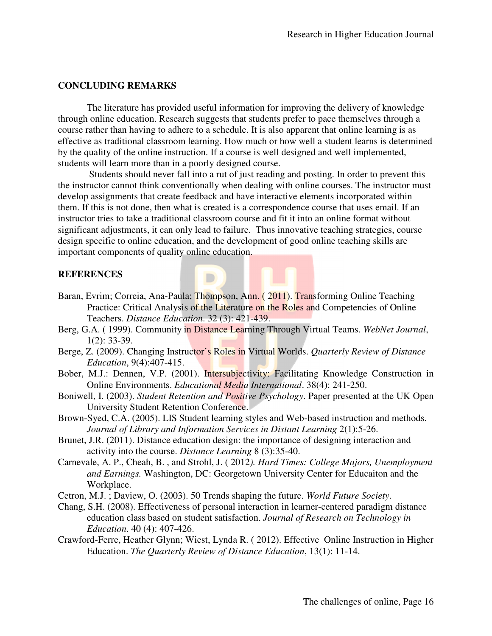#### **CONCLUDING REMARKS**

The literature has provided useful information for improving the delivery of knowledge through online education. Research suggests that students prefer to pace themselves through a course rather than having to adhere to a schedule. It is also apparent that online learning is as effective as traditional classroom learning. How much or how well a student learns is determined by the quality of the online instruction. If a course is well designed and well implemented, students will learn more than in a poorly designed course.

 Students should never fall into a rut of just reading and posting. In order to prevent this the instructor cannot think conventionally when dealing with online courses. The instructor must develop assignments that create feedback and have interactive elements incorporated within them. If this is not done, then what is created is a correspondence course that uses email. If an instructor tries to take a traditional classroom course and fit it into an online format without significant adjustments, it can only lead to failure. Thus innovative teaching strategies, course design specific to online education, and the development of good online teaching skills are important components of quality online education.

#### **REFERENCES**

Baran, Evrim; Correia, Ana-Paula; Thompson, Ann. ( 2011). Transforming Online Teaching Practice: Critical Analysis of the Literature on the Roles and Competencies of Online Teachers. *Distance Education*. 32 (3): 421-439.

D

- Berg, G.A. ( 1999). Community in Distance Learning Through Virtual Teams. *WebNet Journal*, 1(2): 33-39.
- Berge, Z. (2009). Changing Instructor's Roles in Virtual Worlds. *Quarterly Review of Distance Education*, 9(4):407-415.
- Bober, M.J.: Dennen, V.P. (2001). Intersubjectivity: Facilitating Knowledge Construction in Online Environments. *Educational Media International*. 38(4): 241-250.
- Boniwell, I. (2003). *Student Retention and Positive Psychology*. Paper presented at the UK Open University Student Retention Conference.
- Brown-Syed, C.A. (2005). LIS Student learning styles and Web-based instruction and methods. *Journal of Library and Information Services in Distant Learning* 2(1):5-26.
- Brunet, J.R. (2011). Distance education design: the importance of designing interaction and activity into the course. *Distance Learning* 8 (3):35-40.
- Carnevale, A. P., Cheah, B. , and Strohl, J. ( 2012*). Hard Times: College Majors, Unemployment and Earnings.* Washington, DC: Georgetown University Center for Educaiton and the Workplace.
- Cetron, M.J. ; Daview, O. (2003). 50 Trends shaping the future. *World Future Society*.
- Chang, S.H. (2008). Effectiveness of personal interaction in learner-centered paradigm distance education class based on student satisfaction. *Journal of Research on Technology in Education*. 40 (4): 407-426.
- Crawford-Ferre, Heather Glynn; Wiest, Lynda R. ( 2012). Effective Online Instruction in Higher Education. *The Quarterly Review of Distance Education*, 13(1): 11-14.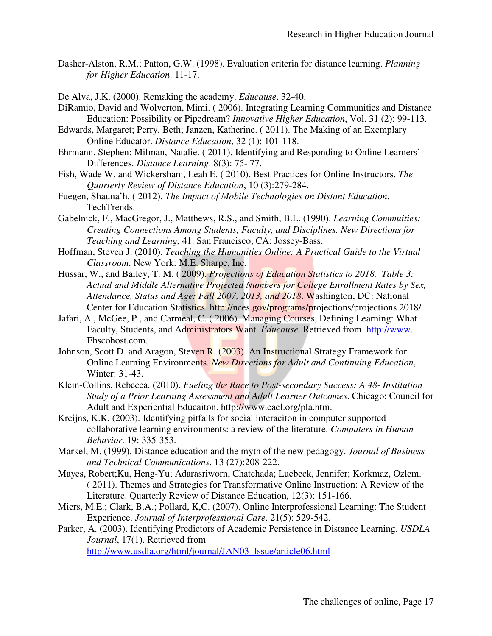- Dasher-Alston, R.M.; Patton, G.W. (1998). Evaluation criteria for distance learning. *Planning for Higher Education*. 11-17.
- De Alva, J.K. (2000). Remaking the academy. *Educause*. 32-40.
- DiRamio, David and Wolverton, Mimi. ( 2006). Integrating Learning Communities and Distance Education: Possibility or Pipedream? *Innovative Higher Education*, Vol. 31 (2): 99-113.
- Edwards, Margaret; Perry, Beth; Janzen, Katherine. ( 2011). The Making of an Exemplary Online Educator. *Distance Education*, 32 (1): 101-118.
- Ehrmann, Stephen; Milman, Natalie. ( 2011). Identifying and Responding to Online Learners' Differences. *Distance Learning*. 8(3): 75- 77.
- Fish, Wade W. and Wickersham, Leah E. ( 2010). Best Practices for Online Instructors. *The Quarterly Review of Distance Education*, 10 (3):279-284.
- Fuegen, Shauna'h. ( 2012). *The Impact of Mobile Technologies on Distant Education*. TechTrends.
- Gabelnick, F., MacGregor, J., Matthews, R.S., and Smith, B.L. (1990). *Learning Commuities: Creating Connections Among Students, Faculty, and Disciplines. New Directions for Teaching and Learning,* 41. San Francisco, CA: Jossey-Bass.
- Hoffman, Steven J. (2010). *Teaching the Humanities Online: A Practical Guide to the Virtual Classroom*. New York: M.E. Sharpe, Inc.
- Hussar, W., and Bailey, T. M. ( 2009). *Projections of Education Statistics to 2018. Table 3: Actual and Middle Alternative Projected Numbers for College Enrollment Rates by Sex, Attendance, Status and Age: Fall 2007, 2013, and 2018*. Washington, DC: National Center for Education Statistics. http://nces.gov/programs/projections/projections 2018/.
- Jafari, A., McGee, P., and Carmeal, C. ( 2006). Managing Courses, Defining Learning: What Faculty, Students, and Administrators Want. *Educause*. Retrieved from http://www. Ebscohost.com.
- Johnson, Scott D. and Aragon, Steven R. (2003). An Instructional Strategy Framework for Online Learning Environments. *New Directions for Adult and Continuing Education*, Winter: 31-43.
- Klein-Collins, Rebecca. (2010). *Fueling the Race to Post-secondary Success: A 48- Institution Study of a Prior Learning Assessment and Adult Learner Outcomes*. Chicago: Council for Adult and Experiential Educaiton. http://www.cael.org/pla.htm.
- Kreijns, K.K. (2003). Identifying pitfalls for social interaciton in computer supported collaborative learning environments: a review of the literature. *Computers in Human Behavior*. 19: 335-353.
- Markel, M. (1999). Distance education and the myth of the new pedagogy. *Journal of Business and Technical Communications*. 13 (27):208-222.
- Mayes, Robert;Ku, Heng-Yu; Adarasriworn, Chatchada; Luebeck, Jennifer; Korkmaz, Ozlem. ( 2011). Themes and Strategies for Transformative Online Instruction: A Review of the Literature. Quarterly Review of Distance Education, 12(3): 151-166.
- Miers, M.E.; Clark, B.A.; Pollard, K,C. (2007). Online Interprofessional Learning: The Student Experience. *Journal of Interprofessional Care*. 21(5): 529-542.
- Parker, A. (2003). Identifying Predictors of Academic Persistence in Distance Learning. *USDLA Journal*, 17(1). Retrieved from

http://www.usdla.org/html/journal/JAN03\_Issue/article06.html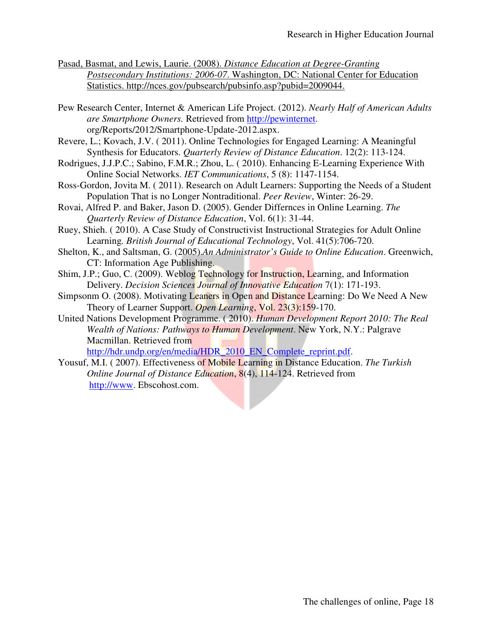- Pasad, Basmat, and Lewis, Laurie. (2008). *Distance Education at Degree-Granting Postsecondary Institutions: 2006-07*. Washington, DC: National Center for Education Statistics. http://nces.gov/pubsearch/pubsinfo.asp?pubid=2009044.
- Pew Research Center, Internet & American Life Project. (2012). *Nearly Half of American Adults are Smartphone Owners.* Retrieved from http://pewinternet. org/Reports/2012/Smartphone-Update-2012.aspx.
- Revere, L.; Kovach, J.V. ( 2011). Online Technologies for Engaged Learning: A Meaningful Synthesis for Educators. *Quarterly Review of Distance Education*. 12(2): 113-124.
- Rodrigues, J.J.P.C.; Sabino, F.M.R.; Zhou, L. ( 2010). Enhancing E-Learning Experience With Online Social Networks. *IET Communications*, 5 (8): 1147-1154.
- Ross-Gordon, Jovita M. ( 2011). Research on Adult Learners: Supporting the Needs of a Student Population That is no Longer Nontraditional. *Peer Review*, Winter: 26-29.
- Rovai, Alfred P. and Baker, Jason D. (2005). Gender Differnces in Online Learning. *The Quarterly Review of Distance Education*, Vol. 6(1): 31-44.
- Ruey, Shieh. ( 2010). A Case Study of Constructivist Instructional Strategies for Adult Online Learning*. British Journal of Educational Technology*, Vol. 41(5):706-720.
- Shelton, K., and Saltsman, G. (2005).*An Administrator's Guide to Online Education*. Greenwich, CT: Information Age Publishing.
- Shim, J.P.; Guo, C. (2009). Weblog Technology for Instruction, Learning, and Information Delivery. *Decision Sciences Journal of Innovative Education* 7(1): 171-193.
- Simpsonm O. (2008). Motivating Leaners in Open and Distance Learning: Do We Need A New Theory of Learner Support. *Open Learning*, Vol. 23(3):159-170.
- United Nations Development Programme. ( 2010). *Human Development Report 2010: The Real Wealth of Nations: Pathways to Human Development*. New York, N.Y.: Palgrave Macmillan. Retrieved from

http://hdr.undp.org/en/media/HDR\_2010\_EN\_Complete\_reprint.pdf.

Yousuf, M.I. ( 2007). Effectiveness of Mobile Learning in Distance Education. *The Turkish Online Journal of Distance Education*, 8(4), 114-124. Retrieved from http://www. Ebscohost.com.